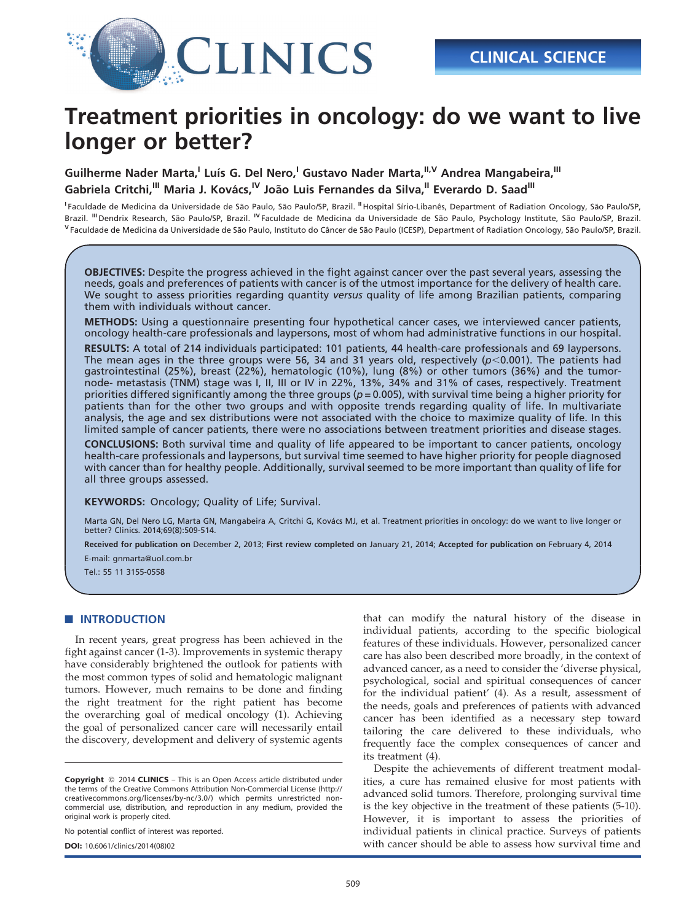

# Treatment priorities in oncology: do we want to live longer or better?

Guilherme Nader Marta,<sup>I</sup> Luís G. Del Nero,<sup>I</sup> Gustavo Nader Marta,<sup>II,V</sup> Andrea Mangabeira,<sup>III</sup> Gabriela Critchi,<sup>III</sup> Maria J. Kovács,<sup>IV</sup> João Luis Fernandes da Silva,<sup>II</sup> Everardo D. Saad<sup>III</sup>

<sup>I</sup> Faculdade de Medicina da Universidade de São Paulo, São Paulo/SP, Brazil. <sup>II</sup> Hospital Sírio-Libanês, Department of Radiation Oncology, São Paulo/SP, Brazil. <sup>III</sup> Dendrix Research, São Paulo/SP, Brazil. <sup>IV</sup> Faculdade de Medicina da Universidade de São Paulo, Psychology Institute, São Paulo/SP, Brazil. V Faculdade de Medicina da Universidade de São Paulo, Instituto do Câncer de São Paulo (ICESP), Department of Radiation Oncology, São Paulo/SP, Brazil.

OBJECTIVES: Despite the progress achieved in the fight against cancer over the past several years, assessing the needs, goals and preferences of patients with cancer is of the utmost importance for the delivery of health care. We sought to assess priorities regarding quantity versus quality of life among Brazilian patients, comparing them with individuals without cancer.

METHODS: Using a questionnaire presenting four hypothetical cancer cases, we interviewed cancer patients, oncology health-care professionals and laypersons, most of whom had administrative functions in our hospital.

RESULTS: A total of 214 individuals participated: 101 patients, 44 health-care professionals and 69 laypersons. The mean ages in the three groups were 56, 34 and 31 years old, respectively ( $p$ <0.001). The patients had gastrointestinal (25%), breast (22%), hematologic (10%), lung (8%) or other tumors (36%) and the tumornode- metastasis (TNM) stage was I, II, III or IV in 22%, 13%, 34% and 31% of cases, respectively. Treatment priorities differed significantly among the three groups ( $p = 0.005$ ), with survival time being a higher priority for patients than for the other two groups and with opposite trends regarding quality of life. In multivariate analysis, the age and sex distributions were not associated with the choice to maximize quality of life. In this limited sample of cancer patients, there were no associations between treatment priorities and disease stages.

CONCLUSIONS: Both survival time and quality of life appeared to be important to cancer patients, oncology health-care professionals and laypersons, but survival time seemed to have higher priority for people diagnosed with cancer than for healthy people. Additionally, survival seemed to be more important than quality of life for all three groups assessed.

KEYWORDS: Oncology; Quality of Life; Survival.

Marta GN, Del Nero LG, Marta GN, Mangabeira A, Critchi G, Kovács MJ, et al. Treatment priorities in oncology: do we want to live longer or better? Clinics. 2014;69(8):509-514.

Received for publication on December 2, 2013; First review completed on January 21, 2014; Accepted for publication on February 4, 2014

E-mail: gnmarta@uol.com.br

Tel.: 55 11 3155-0558

#### **BUINT[RODUCTION](#page-4-0)**

In rec[ent years, great progress has been achieved in the](#page-4-0) fight ag[ainst cancer \(1-3\). Improvements in systemic therapy](#page-4-0) have co[nsiderably brightened the outlook for patients with](#page-4-0) the mos[t common types of solid and hematologic malignant](#page-4-0) tumors. [However, much remains to be done and finding](#page-4-0) the rig[ht treatment for the right patient has become](#page-4-0) the overarching goal of medical oncology (1). Achieving the goal of personalized cancer care will necessarily entail the discovery, development and delivery of systemic agents

No potential conflict of interest was reported.

DOI: 10.6061/clinics/2014(08)02

[that](#page-4-0) ca[n modify the natural history of the disease in](#page-4-0) individ[ual patients, according to the specific biological](#page-4-0) features [of these individuals. However, personalized cancer](#page-4-0) care has [also been described more broadly, in the context of](#page-4-0) advance[d cancer, as a need to consider the 'diverse physical,](#page-4-0) psychol[ogical, social and spiritual consequences of cancer](#page-4-0) for the [individual patient' \(4\). As a result, assessment of](#page-4-0) the nee[ds, goals and preferences of patients with advanced](#page-4-0) cancer [has been identif](#page-4-0)ied as a necessary step toward tailoring the care delivered to these individuals, who frequently face the complex consequences of cancer and its treatment (4).

Despite the achievements of different treatment modalities, a [cure has remained elusive for most patients with](#page-4-0) advance[d solid tumors. Therefore, prolonging survival time](#page-4-0) is the ke[y objective in the treatment of these patients \(5-10\).](#page-4-0) However, it is important to assess the priorities of individual patients in clinical practice. Surveys of patients with cancer should be able to assess how survival time and

Copyright © 2014 CLINICS - This is an Open Access article distributed under the terms of the Creative Commons Attribution Non-Commercial License (http:// creativecommons.org/licenses/by-nc/3.0/) which permits unrestricted noncommercial use, distribution, and reproduction in any medium, provided the original work is properly cited.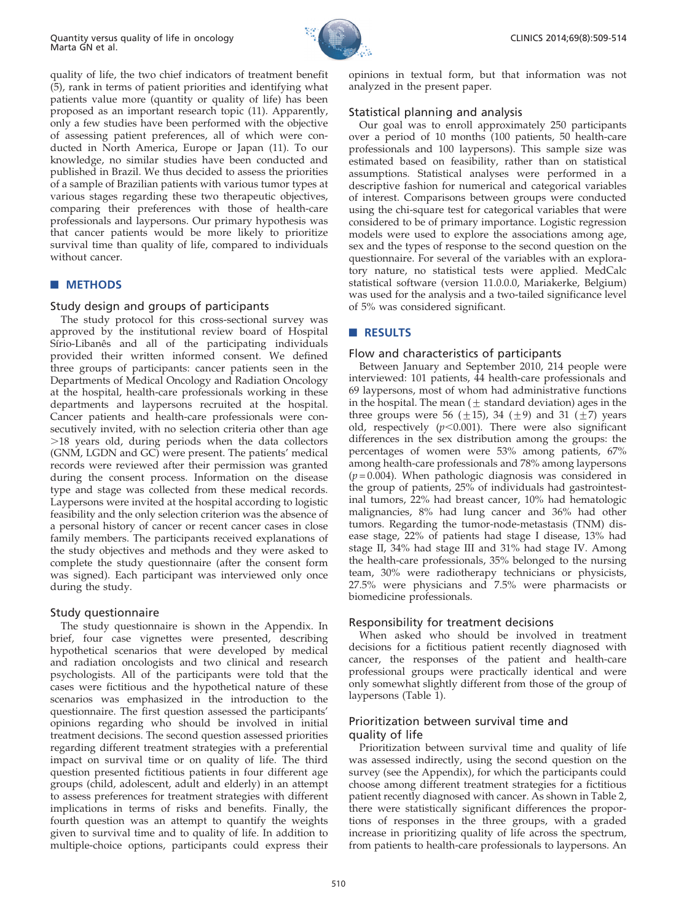

CLINICS 2014;69(8):509-514

quality [of](#page-4-0) [life,](#page-4-0) [the](#page-4-0) [two](#page-4-0) [chief](#page-4-0) [indicators](#page-4-0) [of](#page-4-0) [treatment](#page-4-0) [benefit](#page-4-0) (5), rank [in](#page-4-0) [terms](#page-4-0) [of](#page-4-0) [patient](#page-4-0) [priorities](#page-4-0) [and](#page-4-0) [identifying](#page-4-0) [what](#page-4-0) patients [value more \(quantity or quality of life\) has been](#page-4-0) propose[d](#page-4-0) [as](#page-4-0) [an](#page-4-0) [important](#page-4-0) [research](#page-4-0) [topic](#page-4-0) [\(11\).](#page-4-0) [Apparently,](#page-4-0) only a f[ew studies have been performed with the objective](#page-4-0) of asses[sing](#page-4-0) [patient](#page-4-0) [preferences,](#page-4-0) [all](#page-4-0) [of](#page-4-0) [which](#page-4-0) [were](#page-4-0) [con](#page-4-0)ducted [in North America, Europe or Japan \(11\). To our](#page-4-0) knowle[dge,](#page-4-0) [no](#page-4-0) [similar](#page-4-0) [studies](#page-4-0) [have](#page-4-0) [been](#page-4-0) [conducted](#page-4-0) [and](#page-4-0) publishe[d in Brazil. We thus decided to assess the priorities](#page-4-0) of a sam[ple](#page-4-0) [of](#page-4-0) [Brazilian](#page-4-0) [patients](#page-4-0) [with](#page-4-0) [various](#page-4-0) [tumor](#page-4-0) [types](#page-4-0) [at](#page-4-0) various [stages regarding these two therapeutic objectives,](#page-4-0) compari[ng](#page-4-0) [their](#page-4-0) [preferences](#page-4-0) [with](#page-4-0) [those](#page-4-0) [of](#page-4-0) [health-care](#page-4-0) professi[onals and layper](#page-4-0)sons. Our primary hypothesis was that cancer patients would be more likely to prioritize survival time than quality of life, compared to individuals without cancer.

## **METHODS**

## Study design and groups of participants

The study protocol for this cross-sectional survey was approved by the institutional review board of Hospital Sírio-Libanês and all of the participating individuals provided their written informed consent. We defined three groups of participants: cancer patients seen in the Departments of Medical Oncology and Radiation Oncology at the hospital, health-care professionals working in these departments and laypersons recruited at the hospital. Cancer patients and health-care professionals were consecutively invited, with no selection criteria other than age  $>18$  years old, during periods when the data collectors (GNM, LGDN and GC) were present. The patients' medical records were reviewed after their permission was granted during the consent process. Information on the disease type and stage was collected from these medical records. Laypersons were invited at the hospital according to logistic feasibility and the only selection criterion was the absence of a personal history of cancer or recent cancer cases in close family members. The participants received explanations of the study objectives and methods and they were asked to complete the study questionnaire (after the consent form was signed). Each participant was interviewed only once during the study.

#### Study questionnaire

The study questionnaire is shown in the Appendix. In brief, four case vignettes were presented, describing hypothetical scenarios that were developed by medical and radiation oncologists and two clinical and research psychologists. All of the participants were told that the cases were fictitious and the hypothetical nature of these scenarios was emphasized in the introduction to the questionnaire. The first question assessed the participants' opinions regarding who should be involved in initial treatment decisions. The second question assessed priorities regarding different treatment strategies with a preferential impact on survival time or on quality of life. The third question presented fictitious patients in four different age groups (child, adolescent, adult and elderly) in an attempt to assess preferences for treatment strategies with different implications in terms of risks and benefits. Finally, the fourth question was an attempt to quantify the weights given to survival time and to quality of life. In addition to multiple-choice options, participants could express their opinions in textual form, but that information was not analyzed in the present paper.

#### Statistical planning and analysis

Our goal was to enroll approximately 250 participants over a period of 10 months (100 patients, 50 health-care professionals and 100 laypersons). This sample size was estimated based on feasibility, rather than on statistical assumptions. Statistical analyses were performed in a descriptive fashion for numerical and categorical variables of interest. Comparisons between groups were conducted using the chi-square test for categorical variables that were considered to be of primary importance. Logistic regression models were used to explore the associations among age, sex and the types of response to the second question on the questionnaire. For several of the variables with an exploratory nature, no statistical tests were applied. MedCalc statistical software (version 11.0.0.0, Mariakerke, Belgium) was used for the analysis and a two-tailed significance level of 5% was considered significant.

# **RESULTS**

#### Flow and characteristics of participants

Between January and September 2010, 214 people were interviewed: 101 patients, 44 health-care professionals and 69 laypersons, most of whom had administrative functions in the hospital. The mean ( $\pm$  standard deviation) ages in the three groups were 56  $(\pm 15)$ , 34  $(\pm 9)$  and 31  $(\pm 7)$  years old, respectively  $(p<0.001)$ . There were also significant differences in the sex distribution among the groups: the percentages of women were 53% among patients, 67% among health-care professionals and 78% among laypersons  $(p=0.004)$ . When pathologic diagnosis was considered in the group of patients, 25% of individuals had gastrointestinal tumors, 22% had breast cancer, 10% had hematologic malignancies, 8% had lung cancer and 36% had other tumors. Regarding the tumor-node-metastasis (TNM) disease stage, 22% of patients had stage I disease, 13% had stage II, 34% had stage III and 31% had stage IV. Among the health-care professionals, 35% belonged to the nursing team, 30% were radiotherapy technicians or physicists, 27.5% were physicians and 7.5% were pharmacists or biomedicine professionals.

## Responsibility for treatment decisions

When asked who should be involved in treatment decisions for a fictitious patient recently diagnosed with cancer, the respon[ses of t](#page-2-0)he patient and health-care professional groups were practically identical and were only somewhat slightly different from those of the group of laypersons (Table 1).

# Prioritization between survival time and quality of life

Prioritization between survival time and quality of life was assessed indirectly, using the second question on the survey ([see](#page-2-0) [the](#page-2-0) [Appendix\),](#page-2-0) [for](#page-2-0) [which](#page-2-0) [the](#page-2-0) [participants](#page-2-0) [could](#page-2-0) choose [among](#page-2-0) [different](#page-2-0) [treatment](#page-2-0) [strategies](#page-2-0) [for](#page-2-0) [a](#page-2-0) [fictitious](#page-2-0) patient r[ecently diagnosed with cancer. As shown in Table 2,](#page-2-0) there w[ere](#page-2-0) [statistically](#page-2-0) [significant](#page-2-0) [differences](#page-2-0) [the](#page-2-0) [propor](#page-2-0)tions of responses in the three groups, with a graded increase in prioritizing quality of life across the spectrum, from patients to health-care professionals to laypersons. An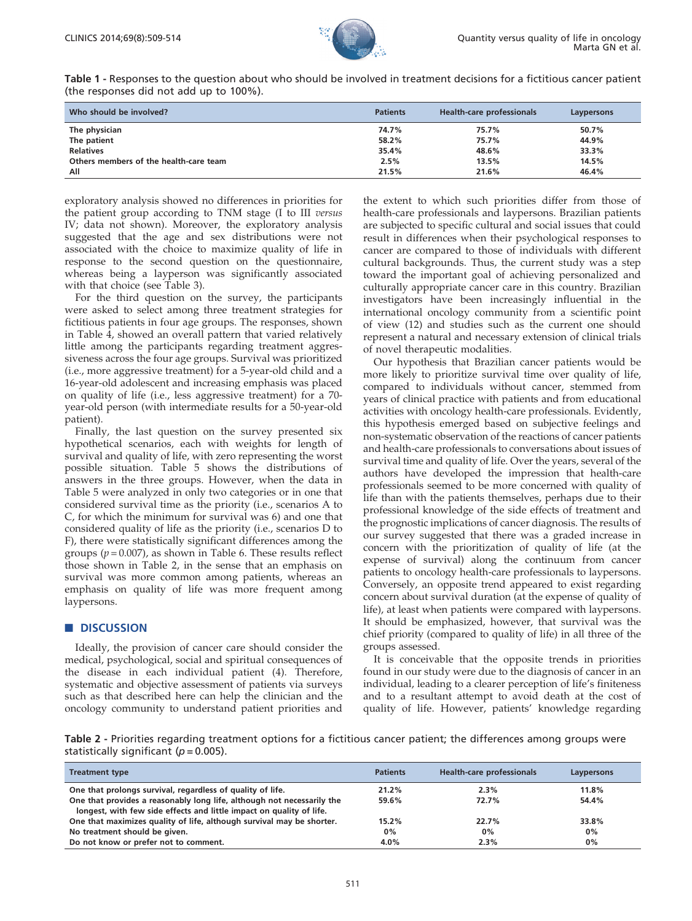

<span id="page-2-0"></span>Table 1 - Responses to the question about who should be involved in treatment decisions for a fictitious cancer patient (the responses did not add up to 100%).

| Who should be involved?                | <b>Patients</b> | <b>Health-care professionals</b> | Laypersons |
|----------------------------------------|-----------------|----------------------------------|------------|
| The physician                          | 74.7%           | 75.7%                            | 50.7%      |
| The patient                            | 58.2%           | 75.7%                            | 44.9%      |
| <b>Relatives</b>                       | 35.4%           | 48.6%                            | 33.3%      |
| Others members of the health-care team | 2.5%            | 13.5%                            | 14.5%      |
| All                                    | 21.5%           | 21.6%                            | 46.4%      |

exploratory analysis showed no differences in priorities for the patient group according to TNM stage (I to III versus IV; data not shown). Moreover, the exploratory analysis suggested that the age and sex distributions were not associat[ed](#page-3-0) [with](#page-3-0) [the](#page-3-0) [choice](#page-3-0) [to](#page-3-0) [maximi](#page-3-0)ze quality of life in response to the second question on the questionnaire, whereas being a layperson was significantly associated with that choice (see Table 3).

For the [third](#page-3-0) [question](#page-3-0) [on](#page-3-0) [the](#page-3-0) [survey,](#page-3-0) [the](#page-3-0) [participants](#page-3-0) were as[ked to select among three treatment strategies for](#page-3-0) fictitiou[s](#page-3-0) [patients](#page-3-0) [in](#page-3-0) [four](#page-3-0) [age](#page-3-0) [groups.](#page-3-0) [The](#page-3-0) [responses,](#page-3-0) [shown](#page-3-0) in Table [4,](#page-3-0) [showed](#page-3-0) [an](#page-3-0) [overall](#page-3-0) [pattern](#page-3-0) [that](#page-3-0) [varied](#page-3-0) [relatively](#page-3-0) little a[mong](#page-3-0) [the](#page-3-0) [participants](#page-3-0) [regarding](#page-3-0) [treatment](#page-3-0) [aggres](#page-3-0)siveness [across](#page-3-0) [the](#page-3-0) [four](#page-3-0) [age](#page-3-0) [groups.](#page-3-0) [Survival](#page-3-0) [was](#page-3-0) [prioritized](#page-3-0) (i.e., mo[re](#page-3-0) [aggressive](#page-3-0) [treatment\)](#page-3-0) [for](#page-3-0) [a](#page-3-0) [5-year-old](#page-3-0) [child](#page-3-0) [and](#page-3-0) [a](#page-3-0) 16-year-[old](#page-3-0) [adole](#page-3-0)scent and increasing emphasis was placed on quality of life (i.e., less aggressive treatment) for a 70 year-old person (with intermediate results for a 50-year-old patient).

Finally, the last question [on](#page-3-0) [the](#page-3-0) [survey](#page-3-0) [presented](#page-3-0) [six](#page-3-0) hypothe[tical](#page-3-0) [scenarios,](#page-3-0) [each](#page-3-0) [with](#page-3-0) [weights](#page-3-0) [for](#page-3-0) [length](#page-3-0) [of](#page-3-0) survival [and](#page-3-0) [quality](#page-3-0) [of](#page-3-0) [life,](#page-3-0) [with](#page-3-0) [zero](#page-3-0) [representing](#page-3-0) [the](#page-3-0) [worst](#page-3-0) possible [situation. Table 5 shows the distributions of](#page-3-0) answers [in](#page-3-0) [the](#page-3-0) [three](#page-3-0) [groups.](#page-3-0) [However,](#page-3-0) [when](#page-3-0) [the](#page-3-0) [data](#page-3-0) [in](#page-3-0) Table 5 [were analyzed in only two categories or in one that](#page-3-0) consider[ed](#page-3-0) [survival](#page-3-0) [time](#page-3-0) [as](#page-3-0) [the](#page-3-0) [priority](#page-3-0) [\(i.e.,](#page-3-0) [scenarios](#page-3-0) [A](#page-3-0) [to](#page-3-0) C, for w[hich](#page-4-0) [the](#page-4-0) [minimum](#page-4-0) [for](#page-4-0) [survival](#page-4-0) [was](#page-4-0) [6\)](#page-4-0) [and](#page-4-0) [one](#page-4-0) [that](#page-4-0) considered quality of life as the priority (i.e., scenarios D to F), there were statistically significant differences among the groups ( $p = 0.007$ ), as shown in Table 6. These results reflect those shown in Table 2, in the sense that an emphasis on survival was more common among patients, whereas an emphasis on quality of life was more frequent among laypersons.

#### **DISCUSSION**

Ideall[y, the provision of cancer care should consider the](#page-4-0) medical, [psychological,](#page-4-0) [social](#page-4-0) [and](#page-4-0) [spiritual](#page-4-0) [consequences](#page-4-0) [of](#page-4-0) the dis[ease in each individual patient \(4\). Therefore,](#page-4-0) systematic and objective assessment of patients via surveys such as that described here can help the clinician and the oncology community to understand patient priorities and

the exte[nt to which such priorities differ from those of](#page-4-0) health-c[are professionals and laypersons. Brazilian patients](#page-4-0) are subj[ected to specific cultural and social issues that could](#page-4-0) result in [differences when their psychological responses to](#page-4-0) cancer a[re compared to those of individuals with different](#page-4-0) cultural [backgrounds. Thus, the current study was a step](#page-4-0) toward [the important goal of achieving personalized and](#page-4-0) culturall[y appropriate cancer care in this country. Brazilian](#page-4-0) investig[ators have been increasingly influential in the](#page-4-0) internati[onal oncology community from](#page-4-0) a scientific point of view (12) and studies such as the current one should represent a natural and necessary extension of clinical trials of novel therapeutic modalities.

Our hypothesis that Brazilian cancer patients would be more likely to prioritize survival time over quality of life, compared to individuals without cancer, stemmed from years of clinical practice with patients and from educational activities with oncology health-care professionals. Evidently, this hypothesis emerged based on subjective feelings and non-systematic observation of the reactions of cancer patients and health-care professionals to conversations about issues of survival time and quality of life. Over the years, several of the authors have developed the impression that health-care professionals seemed to be more concerned with quality of life than with the patients themselves, perhaps due to their professional knowledge of the side effects of treatment and the prognostic implications of cancer diagnosis. The results of our survey suggested that there was a graded increase in concern with the prioritization of quality of life (at the expense of survival) along the continuum from cancer patients to oncology health-care professionals to laypersons. Conversely, an opposite trend appeared to exist regarding concern about survival duration (at the expense of quality of life), at least when patients were compared with laypersons. It should be emphasized, however, that survival was the [chief](#page-4-0) priority (compared to quality of life) in all three of the groups assessed.

It is conceivable that the opposite trends in priorities found in our study were due to the diagnosis of cancer in an individual, leading to a clearer perception of life's finiteness and to a resultant attempt to avoid death at the cost of quality of life. However, patients' knowledge regarding

Table 2 - Priorities regarding treatment options for a fictitious cancer patient; the differences among groups were statistically significant ( $p = 0.005$ ).

| <b>Treatment type</b>                                                  | <b>Patients</b> | Health-care professionals | Laypersons |
|------------------------------------------------------------------------|-----------------|---------------------------|------------|
| One that prolongs survival, regardless of quality of life.             | 21.2%           | $2.3\%$                   | 11.8%      |
| One that provides a reasonably long life, although not necessarily the | 59.6%           | 72.7%                     | 54.4%      |
| longest, with few side effects and little impact on quality of life.   |                 |                           |            |
| One that maximizes quality of life, although survival may be shorter.  | 15.2%           | 22.7%                     | 33.8%      |
| No treatment should be given.                                          | $0\%$           | $0\%$                     | 0%         |
| Do not know or prefer not to comment.                                  | 4.0%            | 2.3%                      | 0%         |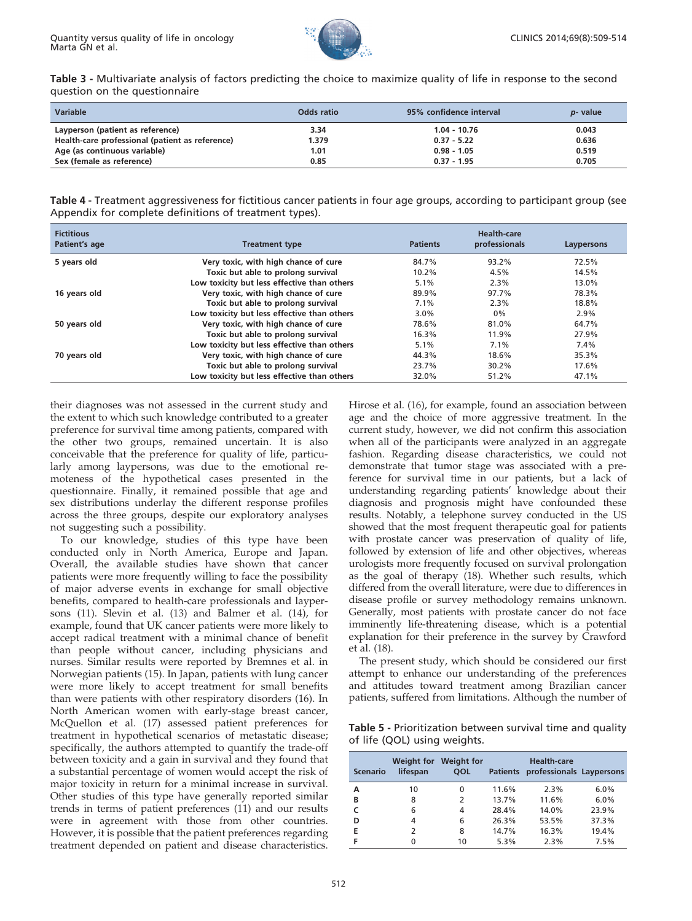

<span id="page-3-0"></span>Table 3 - Multivariate analysis of factors predicting the choice to maximize quality of life in response to the second question on the questionnaire

| <b>Variable</b>                                 | Odds ratio | 95% confidence interval | <i>p</i> - value |
|-------------------------------------------------|------------|-------------------------|------------------|
| Layperson (patient as reference)                | 3.34       | $1.04 - 10.76$          | 0.043            |
| Health-care professional (patient as reference) | 1.379      | $0.37 - 5.22$           | 0.636            |
| Age (as continuous variable)                    | 1.01       | $0.98 - 1.05$           | 0.519            |
| Sex (female as reference)                       | 0.85       | $0.37 - 1.95$           | 0.705            |

| Table 4 - Treatment aggressiveness for fictitious cancer patients in four age groups, according to participant group (see |  |  |  |
|---------------------------------------------------------------------------------------------------------------------------|--|--|--|
| Appendix for complete definitions of treatment types).                                                                    |  |  |  |

| <b>Fictitious</b><br>Patient's age | <b>Treatment type</b>                       | <b>Patients</b> | Health-care<br>professionals | Laypersons |
|------------------------------------|---------------------------------------------|-----------------|------------------------------|------------|
| 5 years old                        | Very toxic, with high chance of cure        | 84.7%           | 93.2%                        | 72.5%      |
|                                    | Toxic but able to prolong survival          | $10.2\%$        | 4.5%                         | 14.5%      |
|                                    | Low toxicity but less effective than others | $5.1\%$         | 2.3%                         | 13.0%      |
| 16 years old                       | Very toxic, with high chance of cure        | 89.9%           | 97.7%                        | 78.3%      |
|                                    | Toxic but able to prolong survival          | $7.1\%$         | 2.3%                         | 18.8%      |
|                                    | Low toxicity but less effective than others | $3.0\%$         | $0\%$                        | 2.9%       |
| 50 years old                       | Very toxic, with high chance of cure        | 78.6%           | 81.0%                        | 64.7%      |
|                                    | Toxic but able to prolong survival          | 16.3%           | 11.9%                        | 27.9%      |
|                                    | Low toxicity but less effective than others | $5.1\%$         | $7.1\%$                      | 7.4%       |
| 70 years old                       | Very toxic, with high chance of cure        | 44.3%           | 18.6%                        | 35.3%      |
|                                    | Toxic but able to prolong survival          | 23.7%           | 30.2%                        | 17.6%      |
|                                    | Low toxicity but less effective than others | 32.0%           | 51.2%                        | 47.1%      |

their diagnoses was not assessed in the current study and the extent to which such knowledge contributed to a greater preference for survival time among patients, compared with the other two groups, remained uncertain. It is also conceivable that the preference for quality of life, particularly among laypersons, was due to the emotional remoteness of the hypothetical cases presented in the questionnaire. Finally, it remained possible that age and sex distributions underlay the different response profiles across the three groups, despite our exploratory analyses not suggesting such a possibility.

To our knowledge, studies of this type have been conducted only in North America, Europe and Japan. Overall, the available studies have shown that cancer patients were [more](#page-4-0) [frequently](#page-4-0) [willing](#page-4-0) [to](#page-4-0) [face](#page-4-0) [the](#page-4-0) [possibility](#page-4-0) of majo[r](#page-4-0) [adverse](#page-4-0) [events](#page-4-0) [in](#page-4-0) [exchange](#page-4-0) [for](#page-4-0) [small](#page-4-0) [objective](#page-4-0) benefits, [compared](#page-4-0) [to](#page-4-0) [health-care](#page-4-0) [professionals](#page-4-0) [and](#page-4-0) [layper](#page-4-0)sons (1[1\).](#page-4-0) [Slevin](#page-4-0) [et](#page-4-0) [al.](#page-4-0) [\(13\)](#page-4-0) [and](#page-4-0) [Balmer](#page-4-0) [et](#page-4-0) [al.](#page-4-0) [\(14\),](#page-4-0) [for](#page-4-0) example[,](#page-4-0) [found](#page-4-0) [that](#page-4-0) [UK](#page-4-0) [cancer](#page-4-0) [patients](#page-4-0) [were](#page-4-0) [more](#page-4-0) [likely](#page-4-0) [to](#page-4-0) accept r[adical](#page-4-0) [treatment](#page-4-0) [with](#page-4-0) [a](#page-4-0) [minimal](#page-4-0) [chance](#page-4-0) [of](#page-4-0) [benefit](#page-4-0) than pe[ople](#page-4-0) [without](#page-4-0) [cancer,](#page-4-0) [including](#page-4-0) [physicians](#page-4-0) [and](#page-4-0) nurses. [Similar](#page-4-0) [results](#page-4-0) [were](#page-4-0) [reported](#page-4-0) [by](#page-4-0) [Bremnes](#page-4-0) [et](#page-4-0) [al.](#page-4-0) [in](#page-4-0) Norweg[ian](#page-4-0) [patients](#page-4-0) [\(15\).](#page-4-0) [In](#page-4-0) [Japan,](#page-4-0) [patients](#page-4-0) [with](#page-4-0) [lung](#page-4-0) [cancer](#page-4-0) were m[ore](#page-4-0) [likely](#page-4-0) [to](#page-4-0) [accept](#page-4-0) [treatment](#page-4-0) [for](#page-4-0) [small](#page-4-0) [benefits](#page-4-0) than we[re patients with other respiratory disorders \(16\). In](#page-4-0) North [American](#page-4-0) [women](#page-4-0) [with](#page-4-0) [early-stage](#page-4-0) [breast](#page-4-0) [cancer,](#page-4-0) McQuell[on et al. \(17\) assessed patient preferences for](#page-4-0) treatme[nt](#page-4-0) [in](#page-4-0) [hypothetical](#page-4-0) [scenarios](#page-4-0) [of](#page-4-0) [metastatic](#page-4-0) [disease;](#page-4-0) specifica[lly, the authors attempted to quantify the trade-off](#page-4-0) between [toxicity](#page-4-0) [and](#page-4-0) [a](#page-4-0) [gain](#page-4-0) [in](#page-4-0) [survival](#page-4-0) [and](#page-4-0) [they](#page-4-0) [found](#page-4-0) [that](#page-4-0) a substa[ntial percentage of women would accept the risk of](#page-4-0) major to[xicity](#page-4-0) [in](#page-4-0) [return](#page-4-0) [for](#page-4-0) [a](#page-4-0) [minimal](#page-4-0) [increase](#page-4-0) [in](#page-4-0) [survival.](#page-4-0) Other st[udies of this type have generally reported similar](#page-4-0) trends i[n](#page-4-0) [terms](#page-4-0) [of](#page-4-0) [patient](#page-4-0) [preferences](#page-4-0) [\(11\)](#page-4-0) [and](#page-4-0) [our](#page-4-0) [results](#page-4-0) were in agreement with those from other countries. However, it is possible that the patient preferences regarding treatment depended on patient and disease characteristics.

Hirose e[t al. \(16\), for example, found an association between](#page-4-0) age and [the](#page-4-0) [choice](#page-4-0) [of](#page-4-0) [more](#page-4-0) [aggressive](#page-4-0) [treatment.](#page-4-0) [In](#page-4-0) [the](#page-4-0) current [study, however, we did not confirm this association](#page-4-0) when al[l](#page-4-0) [of](#page-4-0) [the](#page-4-0) [participants](#page-4-0) [were](#page-4-0) [analyzed](#page-4-0) [in](#page-4-0) [an](#page-4-0) [aggregate](#page-4-0) fashion. [Regarding disease characteristics, we could not](#page-4-0) demonst[rate](#page-4-0) [that](#page-4-0) [tumor](#page-4-0) [stage](#page-4-0) [was](#page-4-0) [associated](#page-4-0) [with](#page-4-0) [a](#page-4-0) [pre](#page-4-0)ference [for survival time in our patients, but a lack of](#page-4-0) understa[nding](#page-4-0) [regarding](#page-4-0) [patients'](#page-4-0) [knowledge](#page-4-0) [about](#page-4-0) [their](#page-4-0) diagnosi[s and prognosis might have confounded these](#page-4-0) results. [Notably,](#page-4-0) [a](#page-4-0) [telephone](#page-4-0) [survey](#page-4-0) [conducted](#page-4-0) [in](#page-4-0) [the](#page-4-0) [US](#page-4-0) showed [that the most frequent therapeutic goal for patients](#page-4-0) with pr[ostate](#page-4-0) [cancer](#page-4-0) [was](#page-4-0) [preservation](#page-4-0) [of](#page-4-0) [quality](#page-4-0) [of](#page-4-0) [life,](#page-4-0) followe[d](#page-4-0) [by](#page-4-0) [extension](#page-4-0) [of](#page-4-0) [life](#page-4-0) [and](#page-4-0) [other](#page-4-0) [objectives,](#page-4-0) [whereas](#page-4-0) urologis[ts](#page-4-0) [more](#page-4-0) [frequently](#page-4-0) [focused](#page-4-0) [on](#page-4-0) [survival](#page-4-0) [prolongation](#page-4-0) as the [goal](#page-4-0) [of](#page-4-0) [therapy](#page-4-0) [\(18\).](#page-4-0) [Whether](#page-4-0) [such](#page-4-0) [results,](#page-4-0) [which](#page-4-0) differed [from](#page-4-0) [the](#page-4-0) [overall](#page-4-0) [literature,](#page-4-0) [were](#page-4-0) [due](#page-4-0) [to](#page-4-0) [differences](#page-4-0) [in](#page-4-0) disease [profile](#page-4-0) [or](#page-4-0) [survey](#page-4-0) [methodology](#page-4-0) [remains](#page-4-0) [unknown.](#page-4-0) Generall[y,](#page-4-0) [most](#page-4-0) [p](#page-4-0)atients with prostate cancer do not face imminently life-threatening disease, which is a potential explanation for their preference in the survey by Crawford et al. (18).

The present study, which should be considered our first attempt to enhance our understanding of the preferences and attitudes toward treatment among Brazilian cancer patients, suffered from limitations. Although the number of

Table 5 - Prioritization between survival time and quality of life (QOL) using weights.

| <b>Scenario</b> | Weight for<br>lifespan | <b>Weight for</b><br><b>OOL</b> | <b>Patients</b> | <b>Health-care</b><br>professionals Laypersons |       |
|-----------------|------------------------|---------------------------------|-----------------|------------------------------------------------|-------|
| А               | 10                     | 0                               | 11.6%           | 2.3%                                           | 6.0%  |
| в               | 8                      | 2                               | 13.7%           | 11.6%                                          | 6.0%  |
|                 | 6                      | 4                               | 28.4%           | 14.0%                                          | 23.9% |
| D               | 4                      | 6                               | 26.3%           | 53.5%                                          | 37.3% |
| E               | 2                      | 8                               | 14.7%           | 16.3%                                          | 19.4% |
|                 |                        | 10                              | 5.3%            | 2.3%                                           | 7.5%  |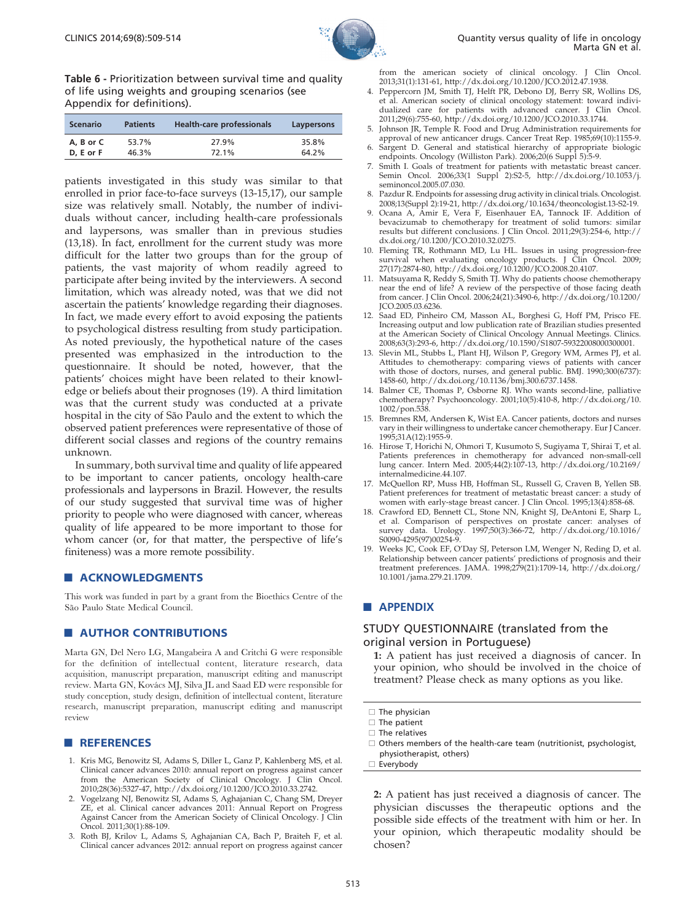

<span id="page-4-0"></span>Table 6 - Prioritization between survival time and quality of life using weights and grouping scenarios (see Appendix for definitions).

| <b>Scenario</b> | <b>Patients</b> | Health-care professionals | Laypersons |
|-----------------|-----------------|---------------------------|------------|
| A. B or C       | 53.7%           | 27.9%                     | 35.8%      |
| D. E or F       | 46.3%           | 72.1%                     | 64.2%      |

patients investigated in this study was similar to that enrolled in prior face-to-face surveys (13-15,17), our sample size was relatively small. Notably, the number of individuals without cancer, including health-care professionals and laypersons, was smaller than in previous studies (13,18). In fact, enrollment for the current study was more difficult for the latter two groups than for the group of patients, the vast majority of whom readily agreed to participate after being invited by the interviewers. A second limitation, which was already noted, was that we did not ascertain the patients' knowledge regarding their diagnoses. In fact, we made every effort to avoid exposing the patients to psychological distress resulting from study participation. As noted previously, the hypothetical nature of the cases presented was emphasized in the introduction to the questionnaire. It should be noted, however, that the patients' choices might have been related to their knowledge or beliefs about their prognoses (19). A third limitation was that the current study was conducted at a private hospital in the city of São Paulo and the extent to which the observed patient preferences were representative of those of different social classes and regions of the country remains unknown.

In summary, both survival time and quality of life appeared to be important to cancer patients, oncology health-care professionals and laypersons in Brazil. However, the results of our study suggested that survival time was of higher priority to people who were diagnosed with cancer, whereas quality of life appeared to be more important to those for whom cancer (or, for that matter, the perspective of life's finiteness) was a more remote possibility.

#### **ACKNOWLEDGMENTS**

This work was funded in part by a grant from the Bioethics Centre of the São Paulo State Medical Council.

## **AUTHOR CONTRIBUTIONS**

Marta GN, Del Nero LG, Mangabeira A and Critchi G were responsible for the definition of intellectual content, literature research, data acquisition, manuscript preparation, manuscript editing and manuscript review. Marta GN, Kovács MJ, Silva JL and Saad ED were responsible for study conception, study design, definition of intellectual content, literature research, manuscript preparation, manuscript editing and manuscript review

#### **REFERENCES**

- 1. Kris MG, Benowitz SI, Adams S, Diller L, Ganz P, Kahlenberg MS, et al. Clinical cancer advances 2010: annual report on progress against cancer from the American Society of Clinical Oncology. J Clin Oncol. 2010;28(36):5327-47, http://dx.doi.org/10.1200/JCO.2010.33.2742.
- 2. Vogelzang NJ, Benowitz SI, Adams S, Aghajanian C, Chang SM, Dreyer ZE, et al. Clinical cancer advances 2011: Annual Report on Progress Against Cancer from the American Society of Clinical Oncology. J Clin Oncol. 2011;30(1):88-109.
- 3. Roth BJ, Krilov L, Adams S, Aghajanian CA, Bach P, Braiteh F, et al. Clinical cancer advances 2012: annual report on progress against cancer

from the american society of clinical oncology. J Clin Oncol. 2013;31(1):131-61, http://dx.doi.org/10.1200/JCO.2012.47.1938.

- 4. Peppercorn JM, Smith TJ, Helft PR, Debono DJ, Berry SR, Wollins DS, et al. American society of clinical oncology statement: toward individualized care for patients with advanced cancer. J Clin Oncol. 2011;29(6):755-60, http://dx.doi.org/10.1200/JCO.2010.33.1744.
- 5. Johnson JR, Temple R. Food and Drug Administration requirements for approval of new anticancer drugs. Cancer Treat Rep. 1985;69(10):1155-9.
- 6. Sargent D. General and statistical hierarchy of appropriate biologic endpoints. Oncology (Williston Park). 2006;20(6 Suppl 5):5-9.
- 7. Smith I. Goals of treatment for patients with metastatic breast cancer. Semin Oncol. 2006;33(1 Suppl 2):S2-5, http://dx.doi.org/10.1053/j. seminoncol.2005.07.030.
- 8. Pazdur R. Endpoints for assessing drug activity in clinical trials. Oncologist. 2008;13(Suppl 2):19-21, http://dx.doi.org/10.1634/theoncologist.13-S2-19.
- 9. Ocana A, Amir E, Vera F, Eisenhauer EA, Tannock IF. Addition of bevacizumab to chemotherapy for treatment of solid tumors: similar results but different conclusions. J Clin Oncol. 2011;29(3):254-6, http:// dx.doi.org/10.1200/JCO.2010.32.0275.
- 10. Fleming TR, Rothmann MD, Lu HL. Issues in using progression-free survival when evaluating oncology products. J Clin Oncol. 2009; 27(17):2874-80, http://dx.doi.org/10.1200/JCO.2008.20.4107.
- 11. Matsuyama R, Reddy S, Smith TJ. Why do patients choose chemotherapy near the end of life? A review of the perspective of those facing death from cancer. J Clin Oncol. 2006;24(21):3490-6, http://dx.doi.org/10.1200/ JCO.2005.03.6236.
- 12. Saad ED, Pinheiro CM, Masson AL, Borghesi G, Hoff PM, Prisco FE. Increasing output and low publication rate of Brazilian studies presented at the American Society of Clinical Oncology Annual Meetings. Clinics. 2008;63(3):293-6, http://dx.doi.org/10.1590/S1807-59322008000300001.
- 13. Slevin ML, Stubbs L, Plant HJ, Wilson P, Gregory WM, Armes PJ, et al. Attitudes to chemotherapy: comparing views of patients with cancer with those of doctors, nurses, and general public. BMJ. 1990;300(6737): 1458-60, http://dx.doi.org/10.1136/bmj.300.6737.1458.
- 14. Balmer CE, Thomas P, Osborne RJ. Who wants second-line, palliative chemotherapy? Psychooncology. 2001;10(5):410-8, http://dx.doi.org/10. 1002/pon.538.
- 15. Bremnes RM, Andersen K, Wist EA. Cancer patients, doctors and nurses vary in their willingness to undertake cancer chemotherapy. Eur J Cancer. 1995;31A(12):1955-9.
- 16. Hirose T, Horichi N, Ohmori T, Kusumoto S, Sugiyama T, Shirai T, et al. Patients preferences in chemotherapy for advanced non-small-cell lung cancer. Intern Med. 2005;44(2):107-13, http://dx.doi.org/10.2169/ internalmedicine.44.107.
- 17. McQuellon RP, Muss HB, Hoffman SL, Russell G, Craven B, Yellen SB. Patient preferences for treatment of metastatic breast cancer: a study of women with early-stage breast cancer. J Clin Oncol. 1995;13(4):858-68.
- 18. Crawford ED, Bennett CL, Stone NN, Knight SJ, DeAntoni E, Sharp L, et al. Comparison of perspectives on prostate cancer: analyses of survey data. Urology. 1997;50(3):366-72, http://dx.doi.org/10.1016/ S0090-4295(97)00254-9.
- Weeks JC, Cook EF, O'Day SJ, Peterson LM, Wenger N, Reding D, et al. Relationship between cancer patients' predictions of prognosis and their treatment preferences. JAMA. 1998;279(21):1709-14, http://dx.doi.org/ 10.1001/jama.279.21.1709.

## **APPENDIX**

# STUDY QUESTIONNAIRE (translated from the original version in Portuguese)

1: A patient has just received a diagnosis of cancer. In your opinion, who should be involved in the choice of treatment? Please check as many options as you like.

2: A patient has just received a diagnosis of cancer. The physician discusses the therapeutic options and the possible side effects of the treatment with him or her. In your opinion, which therapeutic modality should be chosen?

 $\Box$  The physician

 $\square$  The patient

 $\Box$  The relatives

 $\Box$  Others members of the health-care team (nutritionist, psychologist, physiotherapist, others)

<sup>□</sup> Everybody